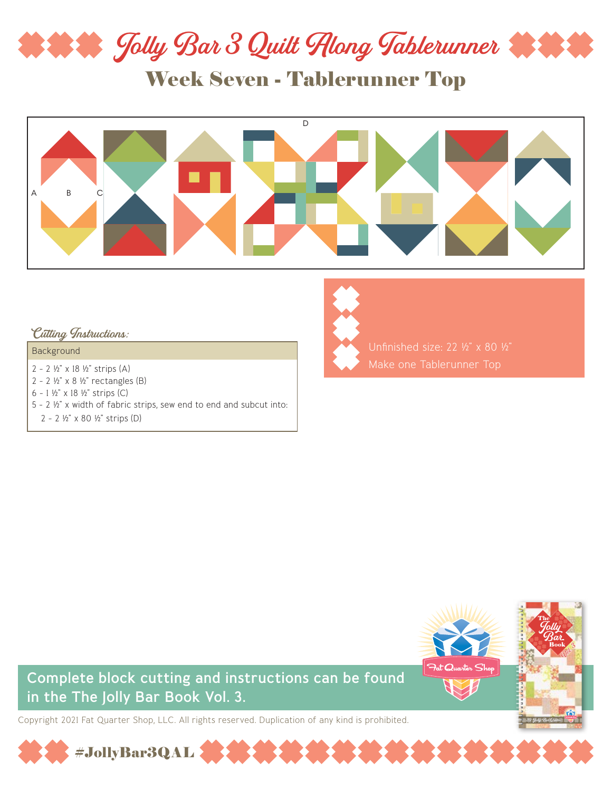

Week Seven - Tablerunner Top



#### Cutting Instructions:

#### Background

- 2 2 ½" x 18 ½" strips (A)
- 2 2 ½" x 8 ½" rectangles (B)
- 6 1 ½" x 18 ½" strips (C)
- 5 2 ½" x width of fabric strips, sew end to end and subcut into:

#JollyBar3QAL

2 - 2 ½" x 80 ½" strips (D)



Unfinished size: 22 ½" x 80 ½" Make one Tablerunner Top